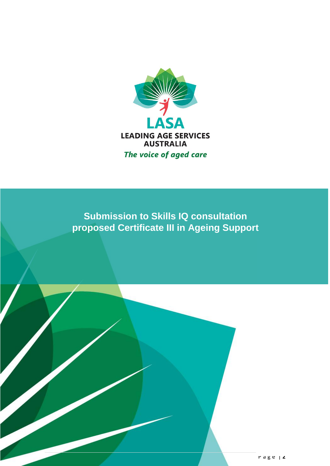

**Submission to Skills IQ consultation proposed Certificate III in Ageing Support**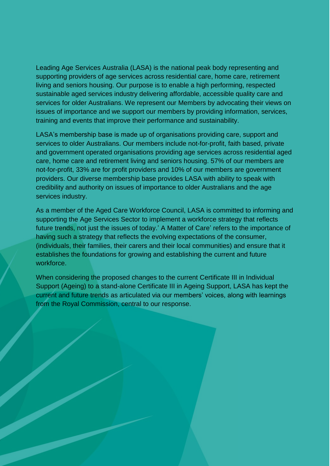Leading Age Services Australia (LASA) is the national peak body representing and supporting providers of age services across residential care, home care, retirement living and seniors housing. Our purpose is to enable a high performing, respected sustainable aged services industry delivering affordable, accessible quality care and services for older Australians. We represent our Members by advocating their views on issues of importance and we support our members by providing information, services, training and events that improve their performance and sustainability.

LASA's membership base is made up of organisations providing care, support and services to older Australians. Our members include not-for-profit, faith based, private and government operated organisations providing age services across residential aged care, home care and retirement living and seniors housing. 57% of our members are not-for-profit, 33% are for profit providers and 10% of our members are government providers. Our diverse membership base provides LASA with ability to speak with credibility and authority on issues of importance to older Australians and the age services industry.

As a member of the Aged Care Workforce Council, LASA is committed to informing and supporting the Age Services Sector to implement a workforce strategy that reflects future trends, not just the issues of today.' A Matter of Care' refers to the importance of having such a strategy that reflects the evolving expectations of the consumer, (individuals, their families, their carers and their local communities) and ensure that it establishes the foundations for growing and establishing the current and future workforce.

When considering the proposed changes to the current Certificate III in Individual Support (Ageing) to a stand-alone Certificate III in Ageing Support, LASA has kept the current and future trends as articulated via our members' voices, along with learnings from the Royal Commission, central to our response.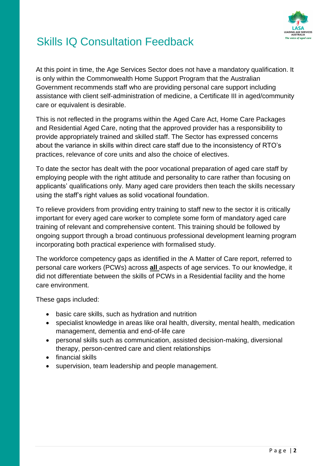

At this point in time, the Age Services Sector does not have a mandatory qualification. It is only within the Commonwealth Home Support Program that the Australian Government recommends staff who are providing personal care support including assistance with client self-administration of medicine, a Certificate III in aged/community care or equivalent is desirable.

This is not reflected in the programs within the Aged Care Act, Home Care Packages and Residential Aged Care, noting that the approved provider has a responsibility to provide appropriately trained and skilled staff. The Sector has expressed concerns about the variance in skills within direct care staff due to the inconsistency of RTO's practices, relevance of core units and also the choice of electives.

To date the sector has dealt with the poor vocational preparation of aged care staff by employing people with the right attitude and personality to care rather than focusing on applicants' qualifications only. Many aged care providers then teach the skills necessary using the staff's right values as solid vocational foundation.

To relieve providers from providing entry training to staff new to the sector it is critically important for every aged care worker to complete some form of mandatory aged care training of relevant and comprehensive content. This training should be followed by ongoing support through a broad continuous professional development learning program incorporating both practical experience with formalised study.

The workforce competency gaps as identified in the A Matter of Care report, referred to personal care workers (PCWs) across **all** aspects of age services. To our knowledge, it did not differentiate between the skills of PCWs in a Residential facility and the home care environment.

These gaps included:

- basic care skills, such as hydration and nutrition
- specialist knowledge in areas like oral health, diversity, mental health, medication management, dementia and end-of-life care
- personal skills such as communication, assisted decision-making, diversional therapy, person-centred care and client relationships
- financial skills
- supervision, team leadership and people management.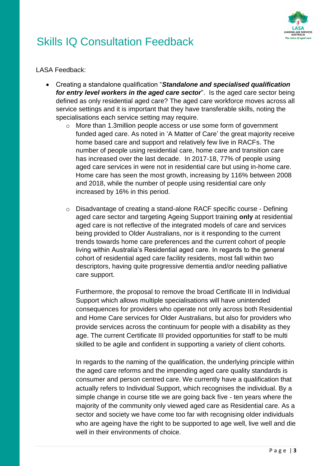

LASA Feedback:

- Creating a standalone qualification "*Standalone and specialised qualification for entry level workers in the aged care sector*". Is the aged care sector being defined as only residential aged care? The aged care workforce moves across all service settings and it is important that they have transferable skills, noting the specialisations each service setting may require.
	- o More than 1.3million people access or use some form of government funded aged care. As noted in 'A Matter of Care' the great majority receive home based care and support and relatively few live in RACFs. The number of people using residential care, home care and transition care has increased over the last decade. In 2017-18, 77% of people using aged care services in were not in residential care but using in-home care. Home care has seen the most growth, increasing by 116% between 2008 and 2018, while the number of people using residential care only increased by 16% in this period.
	- o Disadvantage of creating a stand-alone RACF specific course Defining aged care sector and targeting Ageing Support training **only** at residential aged care is not reflective of the integrated models of care and services being provided to Older Australians, nor is it responding to the current trends towards home care preferences and the current cohort of people living within Australia's Residential aged care. In regards to the general cohort of residential aged care facility residents, most fall within two descriptors, having quite progressive dementia and/or needing palliative care support.

Furthermore, the proposal to remove the broad Certificate III in Individual Support which allows multiple specialisations will have unintended consequences for providers who operate not only across both Residential and Home Care services for Older Australians, but also for providers who provide services across the continuum for people with a disability as they age. The current Certificate III provided opportunities for staff to be multi skilled to be agile and confident in supporting a variety of client cohorts.

In regards to the naming of the qualification, the underlying principle within the aged care reforms and the impending aged care quality standards is consumer and person centred care. We currently have a qualification that actually refers to Individual Support, which recognises the individual. By a simple change in course title we are going back five - ten years where the majority of the community only viewed aged care as Residential care. As a sector and society we have come too far with recognising older individuals who are ageing have the right to be supported to age well, live well and die well in their environments of choice.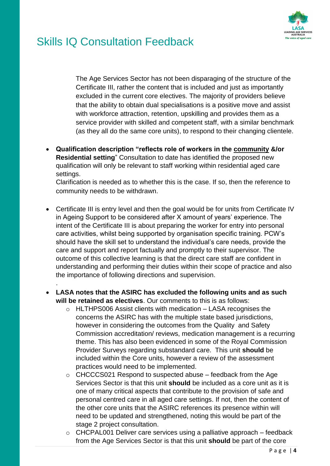

.

The Age Services Sector has not been disparaging of the structure of the Certificate III, rather the content that is included and just as importantly excluded in the current core electives. The majority of providers believe that the ability to obtain dual specialisations is a positive move and assist with workforce attraction, retention, upskilling and provides them as a service provider with skilled and competent staff, with a similar benchmark (as they all do the same core units), to respond to their changing clientele.

 **Qualification description "reflects role of workers in the community &/or Residential setting**" Consultation to date has identified the proposed new qualification will only be relevant to staff working within residential aged care settings.

Clarification is needed as to whether this is the case. If so, then the reference to community needs to be withdrawn.

- Certificate III is entry level and then the goal would be for units from Certificate IV in Ageing Support to be considered after X amount of years' experience. The intent of the Certificate III is about preparing the worker for entry into personal care activities, whilst being supported by organisation specific training. PCW's should have the skill set to understand the individual's care needs, provide the care and support and report factually and promptly to their supervisor. The outcome of this collective learning is that the direct care staff are confident in understanding and performing their duties within their scope of practice and also the importance of following directions and supervision.
- **LASA notes that the ASIRC has excluded the following units and as such will be retained as electives**. Our comments to this is as follows:
	- $\circ$  HLTHPS006 Assist clients with medication LASA recognises the concerns the ASIRC has with the multiple state based jurisdictions, however in considering the outcomes from the Quality and Safety Commission accreditation/ reviews, medication management is a recurring theme. This has also been evidenced in some of the Royal Commission Provider Surveys regarding substandard care. This unit **should** be included within the Core units, however a review of the assessment practices would need to be implemented.
	- $\circ$  CHCCCS021 Respond to suspected abuse feedback from the Age Services Sector is that this unit **should** be included as a core unit as it is one of many critical aspects that contribute to the provision of safe and personal centred care in all aged care settings. If not, then the content of the other core units that the ASIRC references its presence within will need to be updated and strengthened, noting this would be part of the stage 2 project consultation.
	- $\circ$  CHCPAL001 Deliver care services using a palliative approach feedback from the Age Services Sector is that this unit **should** be part of the core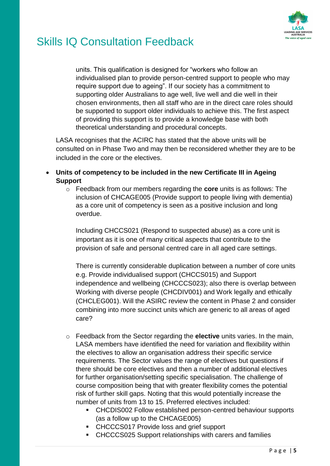

units. This qualification is designed for "workers who follow an individualised plan to provide person-centred support to people who may require support due to ageing". If our society has a commitment to supporting older Australians to age well, live well and die well in their chosen environments, then all staff who are in the direct care roles should be supported to support older individuals to achieve this. The first aspect of providing this support is to provide a knowledge base with both theoretical understanding and procedural concepts.

LASA recognises that the ACIRC has stated that the above units will be consulted on in Phase Two and may then be reconsidered whether they are to be included in the core or the electives.

- **Units of competency to be included in the new Certificate III in Ageing Support**
	- o Feedback from our members regarding the **core** units is as follows: The inclusion of CHCAGE005 (Provide support to people living with dementia) as a core unit of competency is seen as a positive inclusion and long overdue.

Including CHCCS021 (Respond to suspected abuse) as a core unit is important as it is one of many critical aspects that contribute to the provision of safe and personal centred care in all aged care settings.

There is currently considerable duplication between a number of core units e.g. Provide individualised support (CHCCS015) and Support independence and wellbeing (CHCCCS023); also there is overlap between Working with diverse people (CHCDIV001) and Work legally and ethically (CHCLEG001). Will the ASIRC review the content in Phase 2 and consider combining into more succinct units which are generic to all areas of aged care?

- o Feedback from the Sector regarding the **elective** units varies. In the main, LASA members have identified the need for variation and flexibility within the electives to allow an organisation address their specific service requirements. The Sector values the range of electives but questions if there should be core electives and then a number of additional electives for further organisation/setting specific specialisation. The challenge of course composition being that with greater flexibility comes the potential risk of further skill gaps. Noting that this would potentially increase the number of units from 13 to 15. Preferred electives included:
	- CHCDIS002 Follow established person-centred behaviour supports (as a follow up to the CHCAGE005)
	- CHCCCS017 Provide loss and grief support
	- CHCCCS025 Support relationships with carers and families